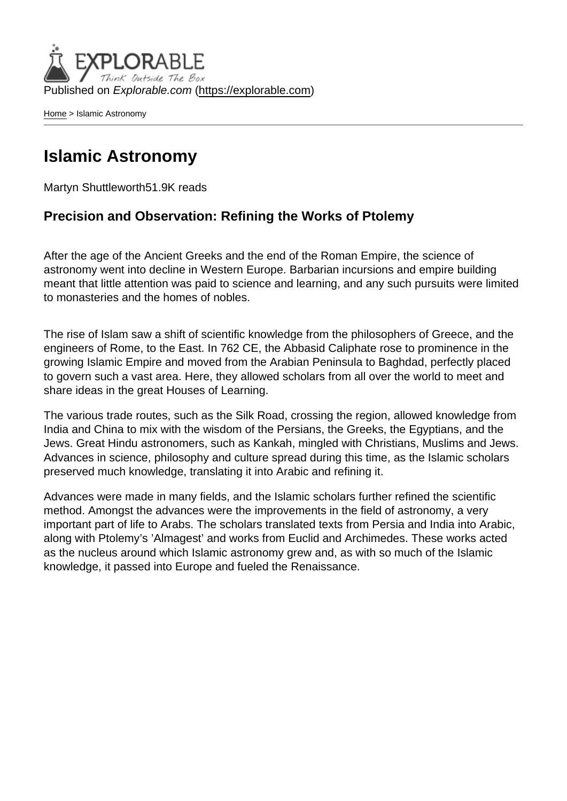Published on Explorable.com (<https://explorable.com>)

[Home](https://explorable.com/) > Islamic Astronomy

#### Islamic Astronomy

Martyn Shuttleworth51.9K reads

Precision and Observation: Refining the Works of Ptolemy

After the age of the Ancient Greeks and the end of the Roman Empire, the science of astronomy went into decline in Western Europe. Barbarian incursions and empire building meant that little attention was paid to science and learning, and any such pursuits were limited to monasteries and the homes of nobles.

The rise of Islam saw a shift of scientific knowledge from the philosophers of Greece, and the engineers of Rome, to the East. In 762 CE, the Abbasid Caliphate rose to prominence in the growing Islamic Empire and moved from the Arabian Peninsula to Baghdad, perfectly placed to govern such a vast area. Here, they allowed scholars from all over the world to meet and share ideas in the great Houses of Learning.

The various trade routes, such as the Silk Road, crossing the region, allowed knowledge from India and China to mix with the wisdom of the Persians, the Greeks, the Egyptians, and the Jews. Great Hindu astronomers, such as Kankah, mingled with Christians, Muslims and Jews. Advances in science, philosophy and culture spread during this time, as the Islamic scholars preserved much knowledge, translating it into Arabic and refining it.

Advances were made in many fields, and the Islamic scholars further refined the scientific method. Amongst the advances were the improvements in the field of astronomy, a very important part of life to Arabs. The scholars translated texts from Persia and India into Arabic, along with Ptolemy's 'Almagest' and works from Euclid and Archimedes. These works acted as the nucleus around which Islamic astronomy grew and, as with so much of the Islamic knowledge, it passed into Europe and fueled the Renaissance.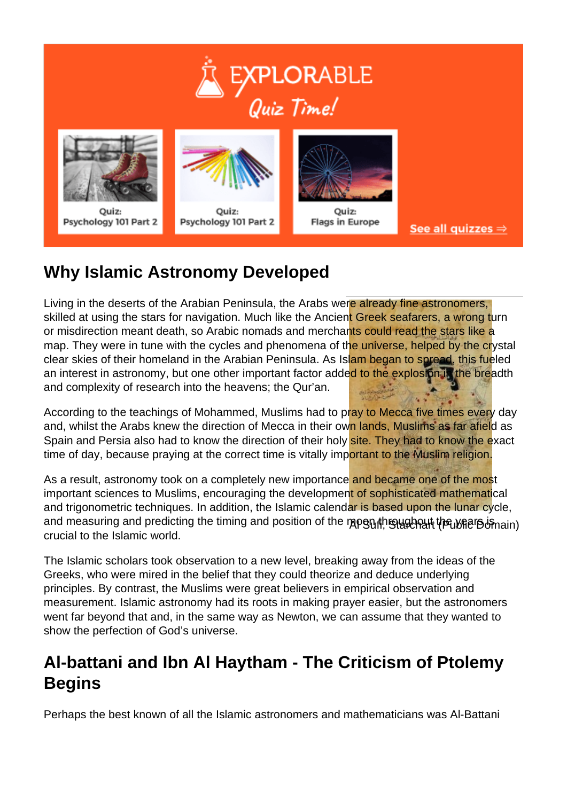







Quiz: **Flags in Europe** 

See all quizzes  $\Rightarrow$ 

# **Why Islamic Astronomy Developed**

Living in the deserts of the Arabian Peninsula, the Arabs were already fine astronomers, skilled at using the stars for navigation. Much like the Ancient Greek seafarers, a wrong turn or misdirection meant death, so Arabic nomads and merchants could read the stars like a map. They were in tune with the cycles and phenomena of the universe, helped by the crystal clear skies of their homeland in the Arabian Peninsula. As Islam began to spread, this fueled an interest in astronomy, but one other important factor added to the explosion in the breadth and complexity of research into the heavens; the Qur'an.

According to the teachings of Mohammed, Muslims had to pray to Mecca five times every day and. whilst the Arabs knew the direction of Mecca in their own lands, Muslims as far afield as Spain and Persia also had to know the direction of their holy site. They had to know the exact time of day, because praying at the correct time is vitally important to the Muslim religion.

and measuring and predicting the timing and position of the mopେ ദീ ആഷ്യമുണ്ണ<del>് () എ</del>്യ്ബിന്റെ അവ As a result, astronomy took on a completely new importance and became one of the most important sciences to Muslims, encouraging the development of sophisticated mathematical and trigonometric techniques. In addition, the Islamic calendar is based upon the lunar cycle, crucial to the Islamic world.

The Islamic scholars took observation to a new level, breaking away from the ideas of the Greeks, who were mired in the belief that they could theorize and deduce underlying principles. By contrast, the Muslims were great believers in empirical observation and measurement. Islamic astronomy had its roots in making prayer easier, but the astronomers went far beyond that and, in the same way as Newton, we can assume that they wanted to show the perfection of God's universe.

#### **Al-battani and Ibn Al Haytham - The Criticism of Ptolemy Begins**

Perhaps the best known of all the Islamic astronomers and mathematicians was Al-Battani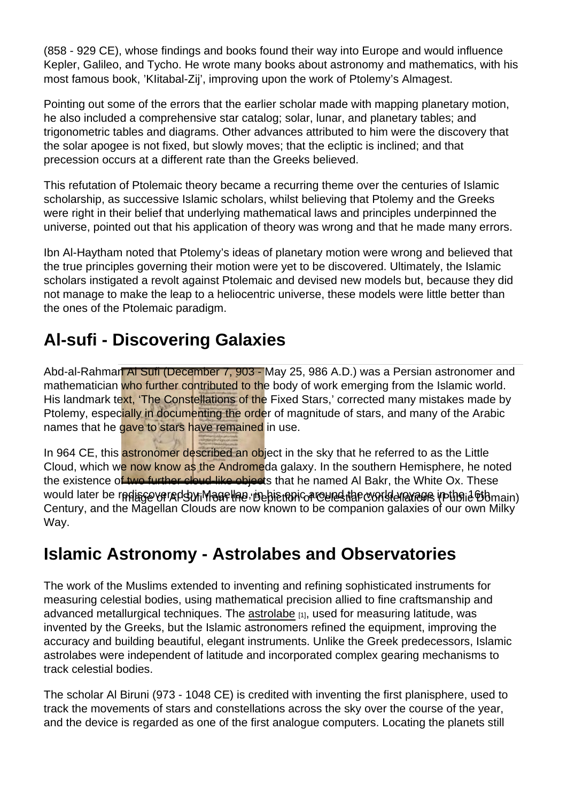(858 - 929 CE), whose findings and books found their way into Europe and would influence Kepler, Galileo, and Tycho. He wrote many books about astronomy and mathematics, with his most famous book, 'KIitabal-Zij', improving upon the work of Ptolemy's Almagest.

Pointing out some of the errors that the earlier scholar made with mapping planetary motion, he also included a comprehensive star catalog; solar, lunar, and planetary tables; and trigonometric tables and diagrams. Other advances attributed to him were the discovery that the solar apogee is not fixed, but slowly moves; that the ecliptic is inclined; and that precession occurs at a different rate than the Greeks believed.

This refutation of Ptolemaic theory became a recurring theme over the centuries of Islamic scholarship, as successive Islamic scholars, whilst believing that Ptolemy and the Greeks were right in their belief that underlying mathematical laws and principles underpinned the universe, pointed out that his application of theory was wrong and that he made many errors.

Ibn Al-Haytham noted that Ptolemy's ideas of planetary motion were wrong and believed that the true principles governing their motion were yet to be discovered. Ultimately, the Islamic scholars instigated a revolt against Ptolemaic and devised new models but, because they did not manage to make the leap to a heliocentric universe, these models were little better than the ones of the Ptolemaic paradigm.

## Al-sufi - Discovering Galaxies

Abd-al-Rahman Al Sufi (December 7, 903 - May 25, 986 A.D.) was a Persian astronomer and mathematician who further contributed to the body of work emerging from the Islamic world. His landmark text, 'The Constellations of the Fixed Stars,' corrected many mistakes made by Ptolemy, especially in documenting the order of magnitude of stars, and many of the Arabic names that he gave to stars have remained in use.

would later be rediscovered by Magellan, in his tehn Caround the world enavage in the 16th main) In 964 CE, this astronomer described an object in the sky that he referred to as the Little Cloud, which we now know as the Andromeda galaxy. In the southern Hemisphere, he noted the existence of two further cloud-like objects that he named Al Bakr, the White Ox. These Century, and the Magellan Clouds are now known to be companion galaxies of our own Milky Way.

## Islamic Astronomy - Astrolabes and Observatories

The work of the Muslims extended to inventing and refining sophisticated instruments for measuring celestial bodies, using mathematical precision allied to fine craftsmanship and advanced metallurgical techniques. The [astrolabe](https://explorable.com/build-an-astrolabe)  $_{[1]}$ , used for measuring latitude, was invented by the Greeks, but the Islamic astronomers refined the equipment, improving the accuracy and building beautiful, elegant instruments. Unlike the Greek predecessors, Islamic astrolabes were independent of latitude and incorporated complex gearing mechanisms to track celestial bodies.

The scholar Al Biruni (973 - 1048 CE) is credited with inventing the first planisphere, used to track the movements of stars and constellations across the sky over the course of the year, and the device is regarded as one of the first analogue computers. Locating the planets still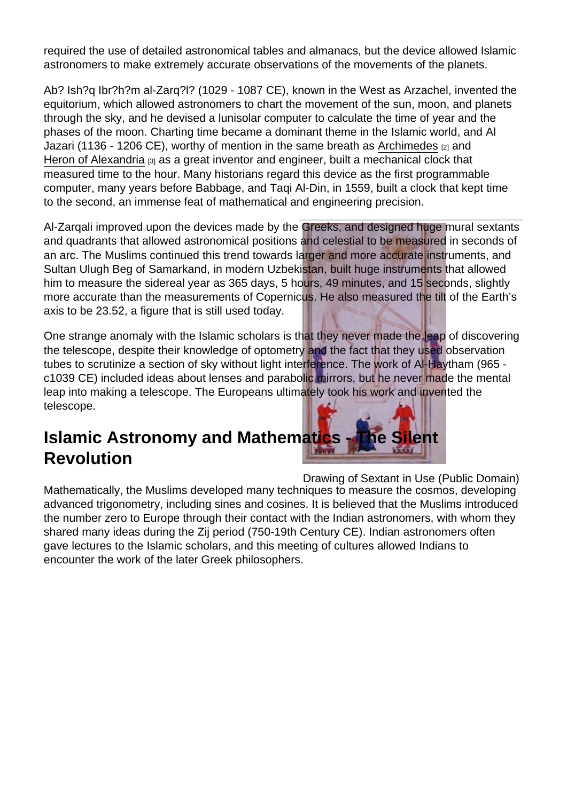required the use of detailed astronomical tables and almanacs, but the device allowed Islamic astronomers to make extremely accurate observations of the movements of the planets.

Ab? Ish?q Ibr?h?m al-Zarq?l? (1029 - 1087 CE), known in the West as Arzachel, invented the equitorium, which allowed astronomers to chart the movement of the sun, moon, and planets through the sky, and he devised a lunisolar computer to calculate the time of year and the phases of the moon. Charting time became a dominant theme in the Islamic world, and Al Jazari (1136 - 1206 CE), worthy of mention in the same breath as [Archimedes](https://explorable.com/archimedes) [2] and [Heron of Alexandria](https://explorable.com/heron-of-alexandria) [3] as a great inventor and engineer, built a mechanical clock that measured time to the hour. Many historians regard this device as the first programmable computer, many years before Babbage, and Taqi Al-Din, in 1559, built a clock that kept time to the second, an immense feat of mathematical and engineering precision.

Al-Zarqali improved upon the devices made by the Greeks, and designed huge mural sextants and quadrants that allowed astronomical positions and celestial to be measured in seconds of an arc. The Muslims continued this trend towards larger and more accurate instruments, and Sultan Ulugh Beg of Samarkand, in modern Uzbekistan, built huge instruments that allowed him to measure the sidereal year as 365 days, 5 hours, 49 minutes, and 15 seconds, slightly more accurate than the measurements of Copernicus. He also measured the tilt of the Earth's axis to be 23.52, a figure that is still used today.

One strange anomaly with the Islamic scholars is that they never made the leap of discovering the telescope, despite their knowledge of optometry and the fact that they used observation tubes to scrutinize a section of sky without light interference. The work of Al-Haytham (965 c1039 CE) included ideas about lenses and parabolic mirrors, but he never made the mental leap into making a telescope. The Europeans ultimately took his work and invented the telescope.

#### Islamic Astronomy and Mathematics - The Silent Revolution

Drawing of Sextant in Use (Public Domain) Mathematically, the Muslims developed many techniques to measure the cosmos, developing advanced trigonometry, including sines and cosines. It is believed that the Muslims introduced the number zero to Europe through their contact with the Indian astronomers, with whom they shared many ideas during the Zij period (750-19th Century CE). Indian astronomers often gave lectures to the Islamic scholars, and this meeting of cultures allowed Indians to encounter the work of the later Greek philosophers.